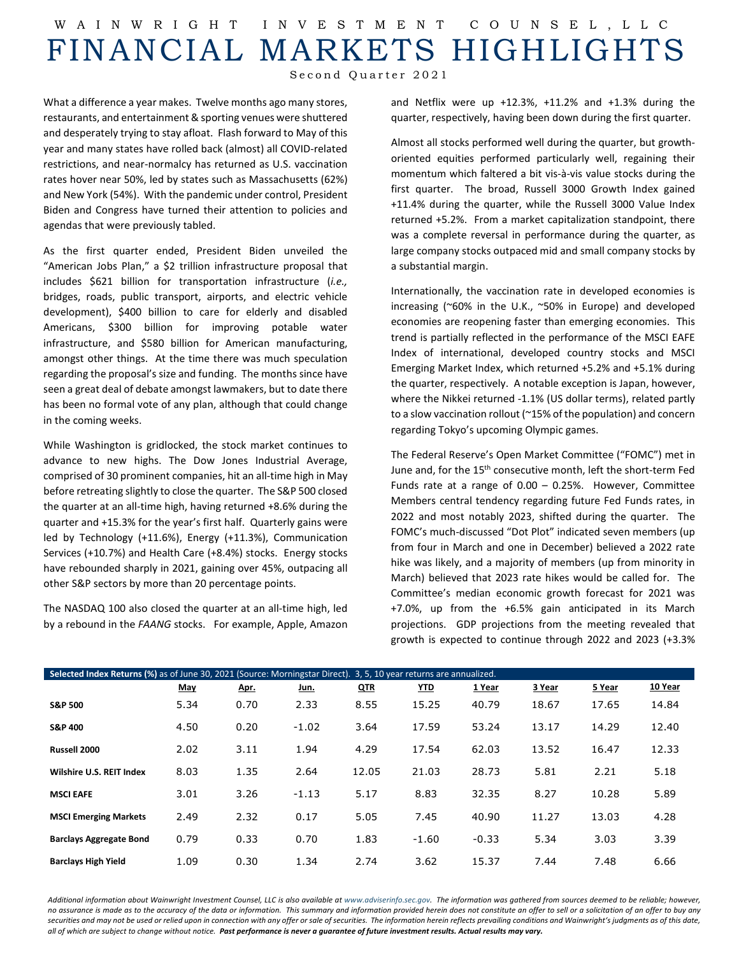## W AINWRIGHT INVESTMENT COUNSEL ,LLC FINANCIAL MARKETS HIGHLIGHTS

Second Quarter 2021

What a difference a year makes. Twelve months ago many stores, restaurants, and entertainment & sporting venues were shuttered and desperately trying to stay afloat. Flash forward to May of this year and many states have rolled back (almost) all COVID-related restrictions, and near-normalcy has returned as U.S. vaccination rates hover near 50%, led by states such as Massachusetts (62%) and New York (54%). With the pandemic under control, President Biden and Congress have turned their attention to policies and agendas that were previously tabled.

As the first quarter ended, President Biden unveiled the "American Jobs Plan," a \$2 trillion infrastructure proposal that includes \$621 billion for transportation infrastructure (*i.e.,* bridges, roads, public transport, airports, and electric vehicle development), \$400 billion to care for elderly and disabled Americans, \$300 billion for improving potable water infrastructure, and \$580 billion for American manufacturing, amongst other things. At the time there was much speculation regarding the proposal's size and funding. The months since have seen a great deal of debate amongst lawmakers, but to date there has been no formal vote of any plan, although that could change in the coming weeks.

While Washington is gridlocked, the stock market continues to advance to new highs. The Dow Jones Industrial Average, comprised of 30 prominent companies, hit an all-time high in May before retreating slightly to close the quarter. The S&P 500 closed the quarter at an all-time high, having returned +8.6% during the quarter and +15.3% for the year's first half. Quarterly gains were led by Technology (+11.6%), Energy (+11.3%), Communication Services (+10.7%) and Health Care (+8.4%) stocks. Energy stocks have rebounded sharply in 2021, gaining over 45%, outpacing all other S&P sectors by more than 20 percentage points.

The NASDAQ 100 also closed the quarter at an all-time high, led by a rebound in the *FAANG* stocks. For example, Apple, Amazon and Netflix were up +12.3%, +11.2% and +1.3% during the quarter, respectively, having been down during the first quarter.

Almost all stocks performed well during the quarter, but growthoriented equities performed particularly well, regaining their momentum which faltered a bit vis-à-vis value stocks during the first quarter. The broad, Russell 3000 Growth Index gained +11.4% during the quarter, while the Russell 3000 Value Index returned +5.2%. From a market capitalization standpoint, there was a complete reversal in performance during the quarter, as large company stocks outpaced mid and small company stocks by a substantial margin.

Internationally, the vaccination rate in developed economies is increasing (~60% in the U.K., ~50% in Europe) and developed economies are reopening faster than emerging economies. This trend is partially reflected in the performance of the MSCI EAFE Index of international, developed country stocks and MSCI Emerging Market Index, which returned +5.2% and +5.1% during the quarter, respectively. A notable exception is Japan, however, where the Nikkei returned -1.1% (US dollar terms), related partly to a slow vaccination rollout (~15% of the population) and concern regarding Tokyo's upcoming Olympic games.

The Federal Reserve's Open Market Committee ("FOMC") met in June and, for the 15<sup>th</sup> consecutive month, left the short-term Fed Funds rate at a range of 0.00 – 0.25%. However, Committee Members central tendency regarding future Fed Funds rates, in 2022 and most notably 2023, shifted during the quarter. The FOMC's much-discussed "Dot Plot" indicated seven members (up from four in March and one in December) believed a 2022 rate hike was likely, and a majority of members (up from minority in March) believed that 2023 rate hikes would be called for. The Committee's median economic growth forecast for 2021 was +7.0%, up from the +6.5% gain anticipated in its March projections. GDP projections from the meeting revealed that growth is expected to continue through 2022 and 2023 (+3.3%

| Selected Index Returns (%) as of June 30, 2021 (Source: Morningstar Direct). 3, 5, 10 year returns are annualized. |      |      |         |            |            |         |        |        |         |  |  |
|--------------------------------------------------------------------------------------------------------------------|------|------|---------|------------|------------|---------|--------|--------|---------|--|--|
|                                                                                                                    | May  | Apr. | Jun.    | <b>QTR</b> | <u>YTD</u> | 1 Year  | 3 Year | 5 Year | 10 Year |  |  |
| <b>S&amp;P 500</b>                                                                                                 | 5.34 | 0.70 | 2.33    | 8.55       | 15.25      | 40.79   | 18.67  | 17.65  | 14.84   |  |  |
| <b>S&amp;P 400</b>                                                                                                 | 4.50 | 0.20 | $-1.02$ | 3.64       | 17.59      | 53.24   | 13.17  | 14.29  | 12.40   |  |  |
| Russell 2000                                                                                                       | 2.02 | 3.11 | 1.94    | 4.29       | 17.54      | 62.03   | 13.52  | 16.47  | 12.33   |  |  |
| Wilshire U.S. REIT Index                                                                                           | 8.03 | 1.35 | 2.64    | 12.05      | 21.03      | 28.73   | 5.81   | 2.21   | 5.18    |  |  |
| <b>MSCI EAFE</b>                                                                                                   | 3.01 | 3.26 | $-1.13$ | 5.17       | 8.83       | 32.35   | 8.27   | 10.28  | 5.89    |  |  |
| <b>MSCI Emerging Markets</b>                                                                                       | 2.49 | 2.32 | 0.17    | 5.05       | 7.45       | 40.90   | 11.27  | 13.03  | 4.28    |  |  |
| <b>Barclays Aggregate Bond</b>                                                                                     | 0.79 | 0.33 | 0.70    | 1.83       | $-1.60$    | $-0.33$ | 5.34   | 3.03   | 3.39    |  |  |
| <b>Barclays High Yield</b>                                                                                         | 1.09 | 0.30 | 1.34    | 2.74       | 3.62       | 15.37   | 7.44   | 7.48   | 6.66    |  |  |

Additional information about Wainwright Investment Counsel, LLC is also available a[t www.adviserinfo.sec.gov.](http://www.adviserinfo.sec.gov/) The information was aathered from sources deemed to be reliable; however, *no assurance is made as to the accuracy of the data or information. This summary and information provided herein does not constitute an offer to sell or a solicitation of an offer to buy any securities and may not be used or relied upon in connection with any offer or sale of securities. The information herein reflects prevailing conditions and Wainwright's judgments as of this date, all of which are subject to change without notice. Past performance is never a guarantee of future investment results. Actual results may vary.*